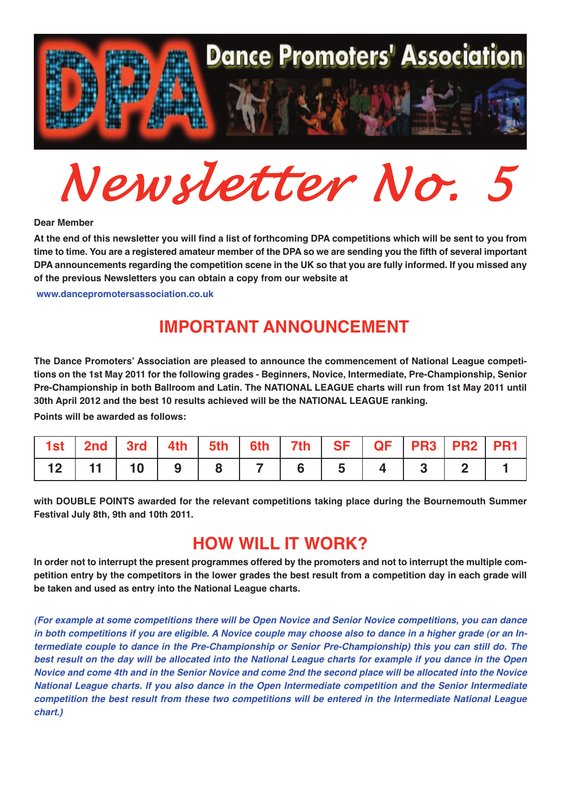

 $Newton$  *Newsletter No.* 

**Dear Member**

At the end of this newsletter you will find a list of forthcoming DPA competitions which will be sent to you from time to time. You are a registered amateur member of the DPA so we are sending you the fifth of several important DPA announcements regarding the competition scene in the UK so that you are fully informed. If you missed any **of the previous Newsletters you can obtain <sup>a</sup> copy from our website at**

**<www.dancepromotersassociation.co.uk>**

## **IMPORTANT ANNOUNCEMENT**

**The Dance Promoters' Association are pleased to announce the commencement of National League competitions on the 1st May 2011 for the following grades - Beginners, Novice, Intermediate, Pre-Championship, Senior Pre-Championship in both Ballroom and Latin. The NATIONAL LEAGUE charts will run from 1st May 2011 until 30th April 2012 and the best 10 results achieved will be the NATIONAL LEAGUE ranking.**

**Points will be awarded as follows:**

|                |  |  | 1st   2nd   3rd   4th   5th   6th   7th   SF   QF   PR3   PR2   PR1 |  |  |  |
|----------------|--|--|---------------------------------------------------------------------|--|--|--|
| $12$ 11 10 9 8 |  |  | 765432                                                              |  |  |  |

**with DOUBLE POINTS awarded for the relevant competitions taking place during the Bournemouth Summer Festival July 8th, 9th and 10th 2011.**

## **HOW WILL IT WORK?**

In order not to interrupt the present programmes offered by the promoters and not to interrupt the multiple competition entry by the competitors in the lower grades the best result from a competition day in each grade will **be taken and used as entry into the National League charts.**

*(For example at some competitions there will be Open Novice and Senior Novice competitions, you can dance* in both competitions if you are eligible. A Novice couple may choose also to dance in a higher grade (or an In*termediate couple to dance in the Pre-Championship or Senior Pre-Championship) this you can still do. The* best result on the day will be allocated into the National League charts for example if you dance in the Open Novice and come 4th and in the Senior Novice and come 2nd the second place will be allocated into the Novice *National League charts. If you also dance in the Open Intermediate competition and the Senior Intermediate competition the best result from these two competitions will be entered in the Intermediate National League chart.)*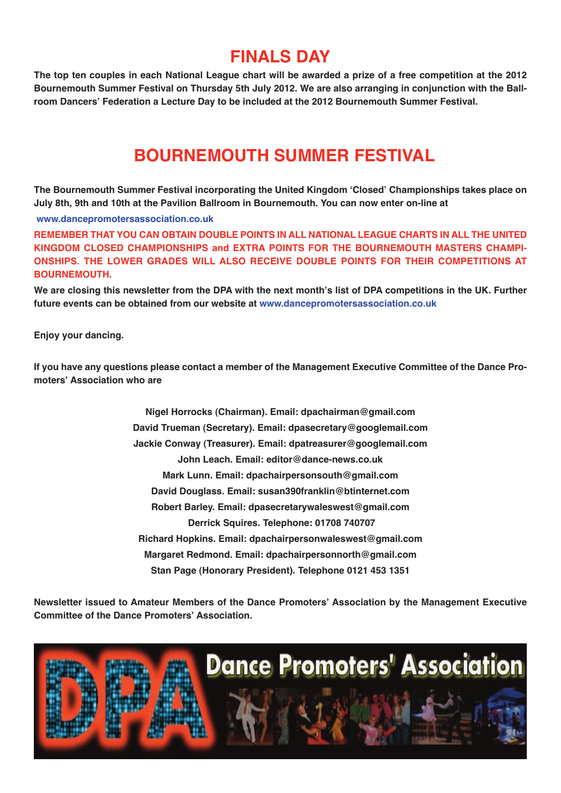## **FINALS DAY**

The top ten couples in each National League chart will be awarded a prize of a free competition at the 2012 Bournemouth Summer Festival on Thursday 5th July 2012. We are also arranging in conjunction with the Ball**room Dancers' Federation a Lecture Day to be included at the 2012 Bournemouth Summer Festival.**

## **BOURNEMOUTH SUMMER FESTIVAL**

**The Bournemouth Summer Festival incorporating the United Kingdom ʻClosed' Championships takes place on July 8th, 9th and 10th at the Pavilion Ballroom in Bournemouth. You can now enter on-line at**

**<www.dancepromotersassociation.co.uk>**

**REMEMBER THAT YOU CAN OBTAIN DOUBLE POINTS IN ALL NATIONAL LEAGUE CHARTS IN ALL THE UNITED KINGDOM CLOSED CHAMPIONSHIPS and EXTRA POINTS FOR THE BOURNEMOUTH MASTERS CHAMPI-ONSHIPS. THE LOWER GRADES WILL ALSO RECEIVE DOUBLE POINTS FOR THEIR COMPETITIONS AT BOURNEMOUTH.**

We are closing this newsletter from the DPA with the next month's list of DPA competitions in the UK. Further **future events can be obtained from our website at <www.dancepromotersassociation.co.uk>**

**Enjoy your dancing.**

If you have any questions please contact a member of the Management Executive Committee of the Dance Pro**moters' Association who are**

> **Nigel Horrocks (Chairman). Email: dpachairman@gmail.com David Trueman (Secretary). Email: dpasecretary@googlemail.com Jackie Conway (Treasurer). Email: dpatreasurer@googlemail.com John Leach. Email: editor@dance-news.co.uk Mark Lunn. Email: dpachairpersonsouth@gmail.com David Douglass. Email: susan390franklin@btinternet.com Robert Barley. Email: dpasecretarywaleswest@gmail.com Derrick Squires. Telephone: 01708 740707 Richard Hopkins. Email: dpachairpersonwaleswest@gmail.com Margaret Redmond. Email: dpachairpersonnorth@gmail.com Stan Page (Honorary President). Telephone 0121 453 1351**

**Newsletter issued to Amateur Members of the Dance Promoters' Association by the Management Executive Committee of the Dance Promoters' Association.**